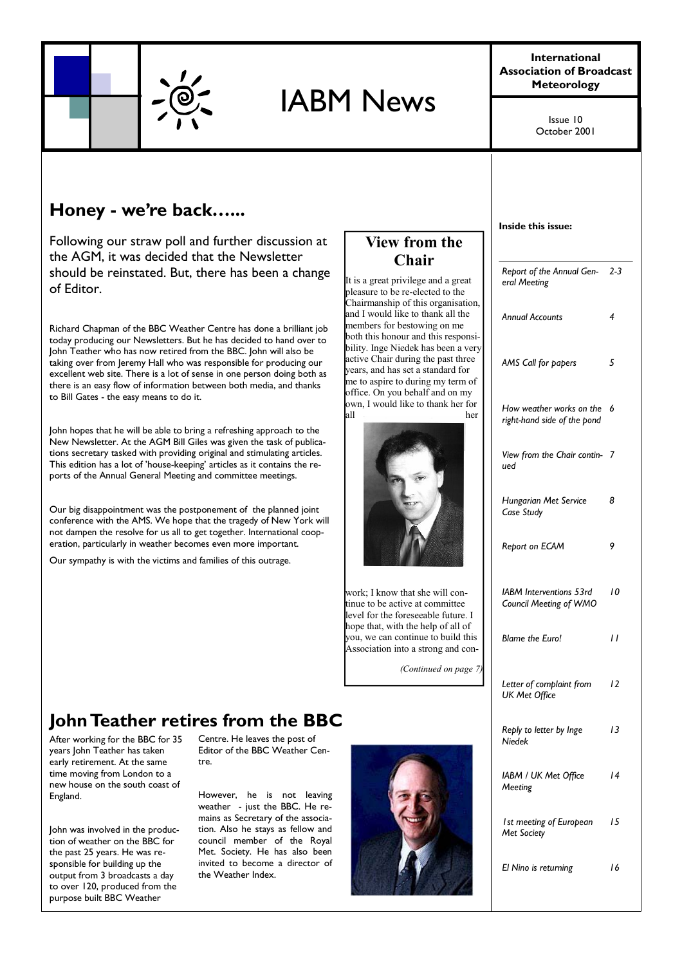

# IABM News

**International Association of Broadcast Meteorology** 

> October 2001 Issue 10

## **Honey - we're back…...**

Following our straw poll and further discussion at the AGM, it was decided that the Newsletter should be reinstated. But, there has been a change of Editor.

Richard Chapman of the BBC Weather Centre has done a brilliant job today producing our Newsletters. But he has decided to hand over to John Teather who has now retired from the BBC. John will also be taking over from Jeremy Hall who was responsible for producing our excellent web site. There is a lot of sense in one person doing both as there is an easy flow of information between both media, and thanks to Bill Gates - the easy means to do it.

John hopes that he will be able to bring a refreshing approach to the New Newsletter. At the AGM Bill Giles was given the task of publications secretary tasked with providing original and stimulating articles. This edition has a lot of 'house-keeping' articles as it contains the reports of the Annual General Meeting and committee meetings.

Our big disappointment was the postponement of the planned joint conference with the AMS. We hope that the tragedy of New York will not dampen the resolve for us all to get together. International cooperation, particularly in weather becomes even more important.

Our sympathy is with the victims and families of this outrage.

### **View from the Chair**

It is a great privilege and a great pleasure to be re-elected to the Chairmanship of this organisation, and I would like to thank all the members for bestowing on me both this honour and this responsibility. Inge Niedek has been a very active Chair during the past three years, and has set a standard for me to aspire to during my term of office. On you behalf and on my own, I would like to thank her for all her



work; I know that she will continue to be active at committee level for the foreseeable future. I hope that, with the help of all of you, we can continue to build this Association into a strong and con-

*(Continued on page 7)* 

| Inside this issue:                                      |    |
|---------------------------------------------------------|----|
| Report of the Annual Gen-2-3<br>eral Meeting            |    |
| <b>Annual Accounts</b>                                  | 4  |
| AMS Call for papers                                     | 5  |
| How weather works on the<br>right-hand side of the pond | 6  |
| View from the Chair contin-<br>ued                      | 7  |
| Hungarian Met Service<br>Case Study                     | 8  |
| Report on ECAM                                          | 9  |
| IABM Interventions 53rd<br>Council Meeting of WMO       | 10 |
| <b>Blame the Euro!</b>                                  | 11 |
| Letter of complaint from<br>UK Met Office               | 12 |
| Reply to letter by Inge<br><b>Niedek</b>                | 13 |
| IABM / UK Met Office<br>Meeting                         | 14 |
| I st meeting of European<br>Met Society                 | 15 |
| El Nino is returning                                    | 16 |

## **John Teather retires from the BBC**

After working for the BBC for 35 years John Teather has taken early retirement. At the same time moving from London to a new house on the south coast of England.

John was involved in the production of weather on the BBC for the past 25 years. He was responsible for building up the output from 3 broadcasts a day to over 120, produced from the purpose built BBC Weather

Centre. He leaves the post of Editor of the BBC Weather Centre.

However, he is not leaving weather - just the BBC. He remains as Secretary of the association. Also he stays as fellow and council member of the Royal Met. Society. He has also been invited to become a director of the Weather Index.

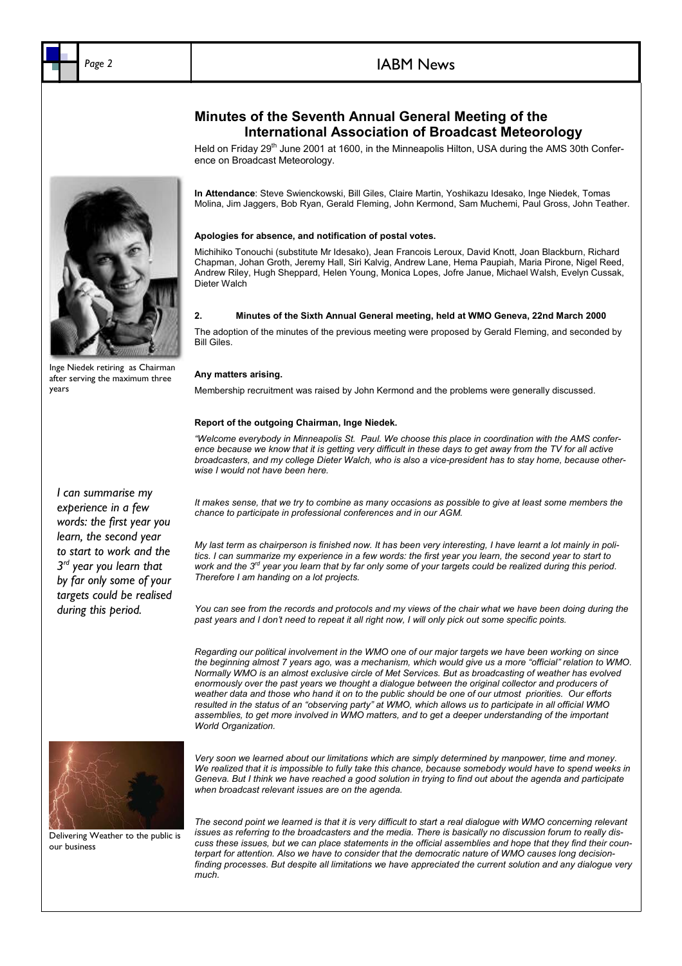### Page 2 **IABM News**

### **Minutes of the Seventh Annual General Meeting of the International Association of Broadcast Meteorology**

Held on Friday 29<sup>th</sup> June 2001 at 1600, in the Minneapolis Hilton, USA during the AMS 30th Conference on Broadcast Meteorology.

**In Attendance**: Steve Swienckowski, Bill Giles, Claire Martin, Yoshikazu Idesako, Inge Niedek, Tomas Molina, Jim Jaggers, Bob Ryan, Gerald Fleming, John Kermond, Sam Muchemi, Paul Gross, John Teather.

### **Apologies for absence, and notification of postal votes.**

Michihiko Tonouchi (substitute Mr Idesako), Jean Francois Leroux, David Knott, Joan Blackburn, Richard Chapman, Johan Groth, Jeremy Hall, Siri Kalvig, Andrew Lane, Hema Paupiah, Maria Pirone, Nigel Reed, Andrew Riley, Hugh Sheppard, Helen Young, Monica Lopes, Jofre Janue, Michael Walsh, Evelyn Cussak, Dieter Walch

#### **2. Minutes of the Sixth Annual General meeting, held at WMO Geneva, 22nd March 2000**

The adoption of the minutes of the previous meeting were proposed by Gerald Fleming, and seconded by Bill Giles.

#### **Any matters arising.**

Membership recruitment was raised by John Kermond and the problems were generally discussed.

### **Report of the outgoing Chairman, Inge Niedek.**

*"Welcome everybody in Minneapolis St. Paul. We choose this place in coordination with the AMS confer*ence because we know that it is getting very difficult in these days to get away from the TV for all active *broadcasters, and my college Dieter Walch, who is also a vice-president has to stay home, because otherwise I would not have been here.* 

*It makes sense, that we try to combine as many occasions as possible to give at least some members the chance to participate in professional conferences and in our AGM.* 

*My last term as chairperson is finished now. It has been very interesting, I have learnt a lot mainly in politics. I can summarize my experience in a few words: the first year you learn, the second year to start to*  work and the 3<sup>rd</sup> year you learn that by far only some of your targets could be realized during this period. *Therefore I am handing on a lot projects.* 

*You can see from the records and protocols and my views of the chair what we have been doing during the past years and I don't need to repeat it all right now, I will only pick out some specific points.* 

*Regarding our political involvement in the WMO one of our major targets we have been working on since the beginning almost 7 years ago, was a mechanism, which would give us a more "official" relation to WMO. Normally WMO is an almost exclusive circle of Met Services. But as broadcasting of weather has evolved enormously over the past years we thought a dialogue between the original collector and producers of weather data and those who hand it on to the public should be one of our utmost priorities. Our efforts resulted in the status of an "observing party" at WMO, which allows us to participate in all official WMO assemblies, to get more involved in WMO matters, and to get a deeper understanding of the important World Organization.* 



Delivering Weather to the public is our business

*Very soon we learned about our limitations which are simply determined by manpower, time and money. We realized that it is impossible to fully take this chance, because somebody would have to spend weeks in Geneva. But I think we have reached a good solution in trying to find out about the agenda and participate when broadcast relevant issues are on the agenda.* 

The second point we learned is that it is very difficult to start a real dialogue with WMO concerning relevant *issues as referring to the broadcasters and the media. There is basically no discussion forum to really discuss these issues, but we can place statements in the official assemblies and hope that they find their counterpart for attention. Also we have to consider that the democratic nature of WMO causes long decisionfinding processes. But despite all limitations we have appreciated the current solution and any dialogue very much.* 

*I can summarise my experience in a few words: the first year you learn, the second year to start to work and the 3rd year you learn that by far only some of your targets could be realised during this period.* 



after serving the maximum three

years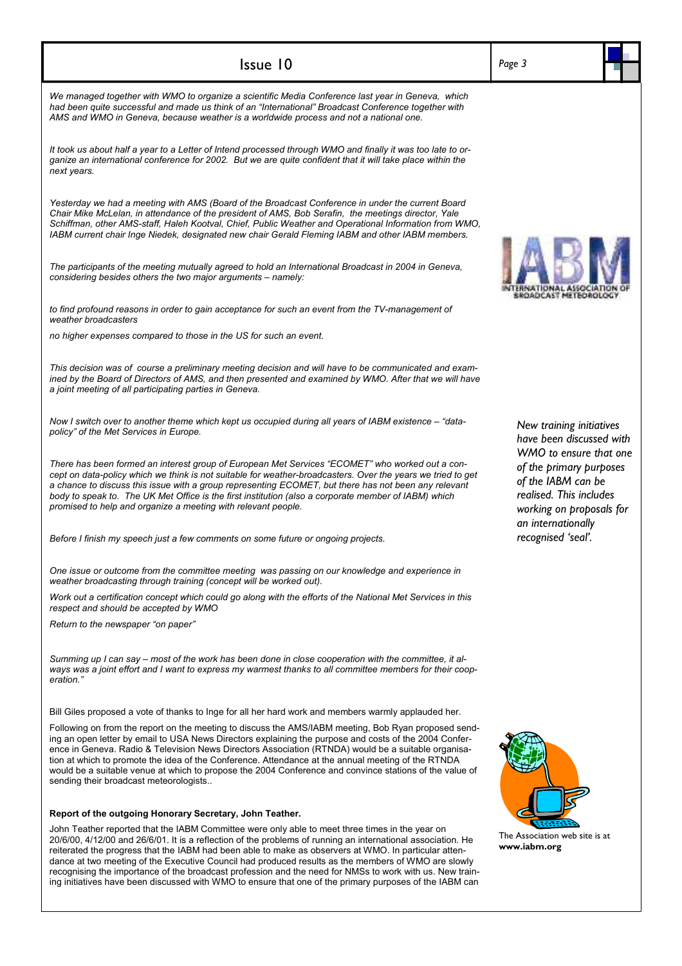| Issue 10                                                                                                                                                                                                                                                                                                                                                                                                                                                                                                                                                                         | Page 3                                                                                                                     |
|----------------------------------------------------------------------------------------------------------------------------------------------------------------------------------------------------------------------------------------------------------------------------------------------------------------------------------------------------------------------------------------------------------------------------------------------------------------------------------------------------------------------------------------------------------------------------------|----------------------------------------------------------------------------------------------------------------------------|
| We managed together with WMO to organize a scientific Media Conference last year in Geneva, which<br>had been quite successful and made us think of an "International" Broadcast Conference together with<br>AMS and WMO in Geneva, because weather is a worldwide process and not a national one.                                                                                                                                                                                                                                                                               |                                                                                                                            |
| It took us about half a year to a Letter of Intend processed through WMO and finally it was too late to or-<br>ganize an international conference for 2002. But we are quite confident that it will take place within the<br>next years.                                                                                                                                                                                                                                                                                                                                         |                                                                                                                            |
| Yesterday we had a meeting with AMS (Board of the Broadcast Conference in under the current Board<br>Chair Mike McLelan, in attendance of the president of AMS, Bob Serafin, the meetings director, Yale<br>Schiffman, other AMS-staff, Haleh Kootval, Chief, Public Weather and Operational Information from WMO,<br>IABM current chair Inge Niedek, designated new chair Gerald Fleming IABM and other IABM members.                                                                                                                                                           |                                                                                                                            |
| The participants of the meeting mutually agreed to hold an International Broadcast in 2004 in Geneva,<br>considering besides others the two major arguments - namely:                                                                                                                                                                                                                                                                                                                                                                                                            | OADCAST METEOROLOG                                                                                                         |
| to find profound reasons in order to gain acceptance for such an event from the TV-management of<br>weather broadcasters                                                                                                                                                                                                                                                                                                                                                                                                                                                         |                                                                                                                            |
| no higher expenses compared to those in the US for such an event.                                                                                                                                                                                                                                                                                                                                                                                                                                                                                                                |                                                                                                                            |
| This decision was of course a preliminary meeting decision and will have to be communicated and exam-<br>ined by the Board of Directors of AMS, and then presented and examined by WMO. After that we will have<br>a joint meeting of all participating parties in Geneva.                                                                                                                                                                                                                                                                                                       |                                                                                                                            |
| Now I switch over to another theme which kept us occupied during all years of IABM existence - "data-<br>policy" of the Met Services in Europe.                                                                                                                                                                                                                                                                                                                                                                                                                                  | New training initiatives<br>have been discussed with<br>WMO to ensure that one                                             |
| There has been formed an interest group of European Met Services "ECOMET" who worked out a con-<br>cept on data-policy which we think is not suitable for weather-broadcasters. Over the years we tried to get<br>a chance to discuss this issue with a group representing ECOMET, but there has not been any relevant<br>body to speak to. The UK Met Office is the first institution (also a corporate member of IABM) which<br>promised to help and organize a meeting with relevant people.                                                                                  | of the primary purposes<br>of the IABM can be<br>realised. This includes<br>working on proposals for<br>an internationally |
| Before I finish my speech just a few comments on some future or ongoing projects.                                                                                                                                                                                                                                                                                                                                                                                                                                                                                                | recognised 'seal'.                                                                                                         |
| One issue or outcome from the committee meeting was passing on our knowledge and experience in<br>weather broadcasting through training (concept will be worked out).                                                                                                                                                                                                                                                                                                                                                                                                            |                                                                                                                            |
| Work out a certification concept which could go along with the efforts of the National Met Services in this<br>respect and should be accepted by WMO                                                                                                                                                                                                                                                                                                                                                                                                                             |                                                                                                                            |
| Return to the newspaper "on paper"                                                                                                                                                                                                                                                                                                                                                                                                                                                                                                                                               |                                                                                                                            |
| Summing up I can say – most of the work has been done in close cooperation with the committee, it al-<br>ways was a joint effort and I want to express my warmest thanks to all committee members for their coop-<br>eration."                                                                                                                                                                                                                                                                                                                                                   |                                                                                                                            |
| Bill Giles proposed a vote of thanks to Inge for all her hard work and members warmly applauded her.                                                                                                                                                                                                                                                                                                                                                                                                                                                                             |                                                                                                                            |
| Following on from the report on the meeting to discuss the AMS/IABM meeting, Bob Ryan proposed send-<br>ing an open letter by email to USA News Directors explaining the purpose and costs of the 2004 Confer-<br>ence in Geneva. Radio & Television News Directors Association (RTNDA) would be a suitable organisa-<br>tion at which to promote the idea of the Conference. Attendance at the annual meeting of the RTNDA<br>would be a suitable venue at which to propose the 2004 Conference and convince stations of the value of<br>sending their broadcast meteorologists |                                                                                                                            |
| Report of the outgoing Honorary Secretary, John Teather.                                                                                                                                                                                                                                                                                                                                                                                                                                                                                                                         |                                                                                                                            |
| John Teather reported that the IABM Committee were only able to meet three times in the year on<br>20/6/00, 4/12/00 and 26/6/01. It is a reflection of the problems of running an international association. He<br>rejerated the progress that the IARM had been able to make as observers at WMO. In particular atten-                                                                                                                                                                                                                                                          | The Association web site is at<br>www.iabm.org                                                                             |

I vo

 $\mathsf{l}$ 

reiterated the progress that the IABM had been able to make as observers at WMO. In particular attendance at two meeting of the Executive Council had produced results as the members of WMO are slowly recognising the importance of the broadcast profession and the need for NMSs to work with us. New training initiatives have been discussed with WMO to ensure that one of the primary purposes of the IABM can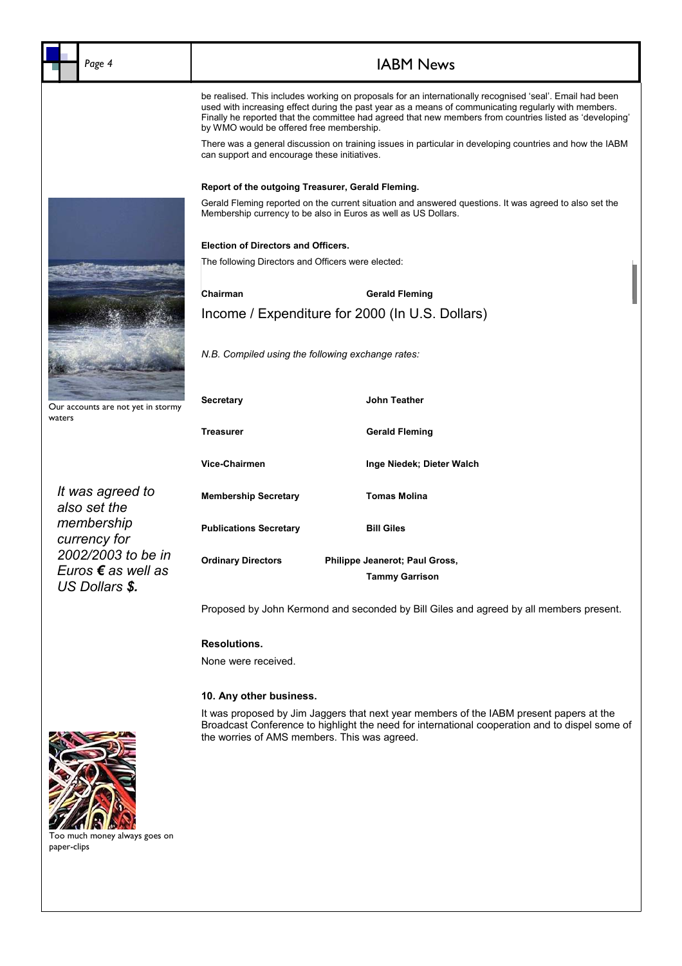| Page 4                                       | <b>IABM News</b>                                                                                                                                                                                                                                                                                                                                                         |                                |  |  |
|----------------------------------------------|--------------------------------------------------------------------------------------------------------------------------------------------------------------------------------------------------------------------------------------------------------------------------------------------------------------------------------------------------------------------------|--------------------------------|--|--|
|                                              | be realised. This includes working on proposals for an internationally recognised 'seal'. Email had been<br>used with increasing effect during the past year as a means of communicating regularly with members.<br>Finally he reported that the committee had agreed that new members from countries listed as 'developing'<br>by WMO would be offered free membership. |                                |  |  |
|                                              | There was a general discussion on training issues in particular in developing countries and how the IABM<br>can support and encourage these initiatives.                                                                                                                                                                                                                 |                                |  |  |
|                                              | Report of the outgoing Treasurer, Gerald Fleming.                                                                                                                                                                                                                                                                                                                        |                                |  |  |
|                                              | Gerald Fleming reported on the current situation and answered questions. It was agreed to also set the<br>Membership currency to be also in Euros as well as US Dollars.                                                                                                                                                                                                 |                                |  |  |
|                                              | <b>Election of Directors and Officers.</b>                                                                                                                                                                                                                                                                                                                               |                                |  |  |
|                                              | The following Directors and Officers were elected:                                                                                                                                                                                                                                                                                                                       |                                |  |  |
|                                              | Chairman                                                                                                                                                                                                                                                                                                                                                                 | <b>Gerald Fleming</b>          |  |  |
|                                              | Income / Expenditure for 2000 (In U.S. Dollars)                                                                                                                                                                                                                                                                                                                          |                                |  |  |
|                                              | N.B. Compiled using the following exchange rates:                                                                                                                                                                                                                                                                                                                        |                                |  |  |
| Our accounts are not yet in stormy<br>waters | <b>Secretary</b>                                                                                                                                                                                                                                                                                                                                                         | John Teather                   |  |  |
|                                              | <b>Treasurer</b>                                                                                                                                                                                                                                                                                                                                                         | <b>Gerald Fleming</b>          |  |  |
|                                              | Vice-Chairmen                                                                                                                                                                                                                                                                                                                                                            | Inge Niedek; Dieter Walch      |  |  |
| It was agreed to<br>also set the             | <b>Membership Secretary</b>                                                                                                                                                                                                                                                                                                                                              | <b>Tomas Molina</b>            |  |  |
| membership<br>currency for                   | <b>Publications Secretary</b>                                                                                                                                                                                                                                                                                                                                            | <b>Bill Giles</b>              |  |  |
| 2002/2003 to be in                           | <b>Ordinary Directors</b>                                                                                                                                                                                                                                                                                                                                                | Philippe Jeanerot; Paul Gross, |  |  |
| Euros € as well as<br>US Dollars \$.         |                                                                                                                                                                                                                                                                                                                                                                          | <b>Tammy Garrison</b>          |  |  |
|                                              | Proposed by John Kermond and seconded by Bill Giles and agreed by all members present.                                                                                                                                                                                                                                                                                   |                                |  |  |
|                                              | Resolutions.                                                                                                                                                                                                                                                                                                                                                             |                                |  |  |

*Website*  None were received.

### *Webmaster / 12 Months 1999 2711*  **10. Any other business.**

j **Broadcast Conference f** the worries of AMS members. This was agreed. It was proposed by Jim Jaggers that next year members of the IABM present papers at the Broadcast Conference to highlight the need for international cooperation and to dispel some of the worries of AMS members. This was agreed.



paper-clips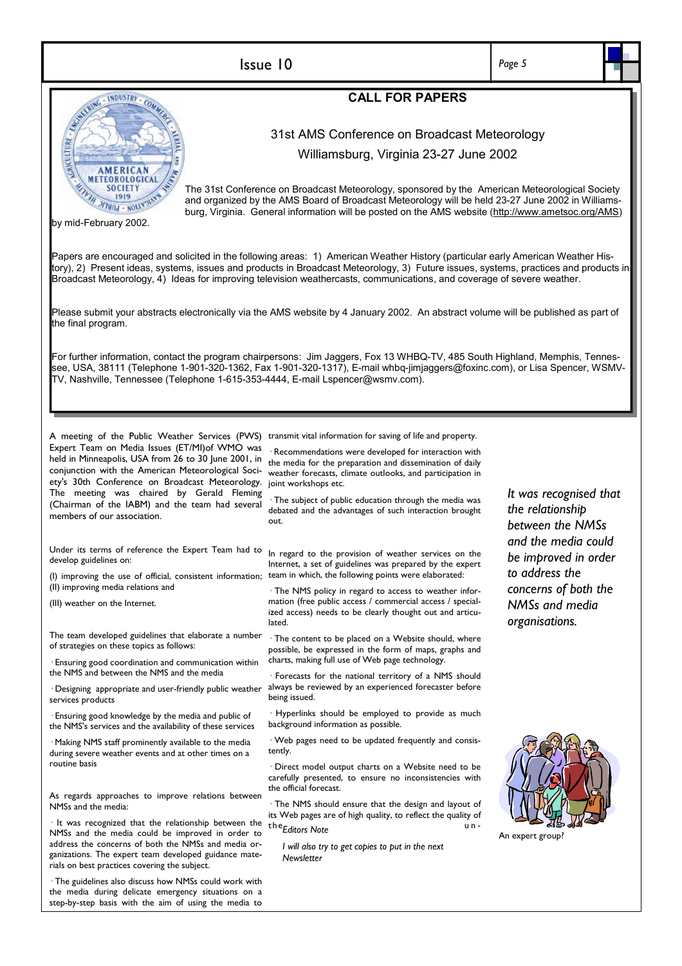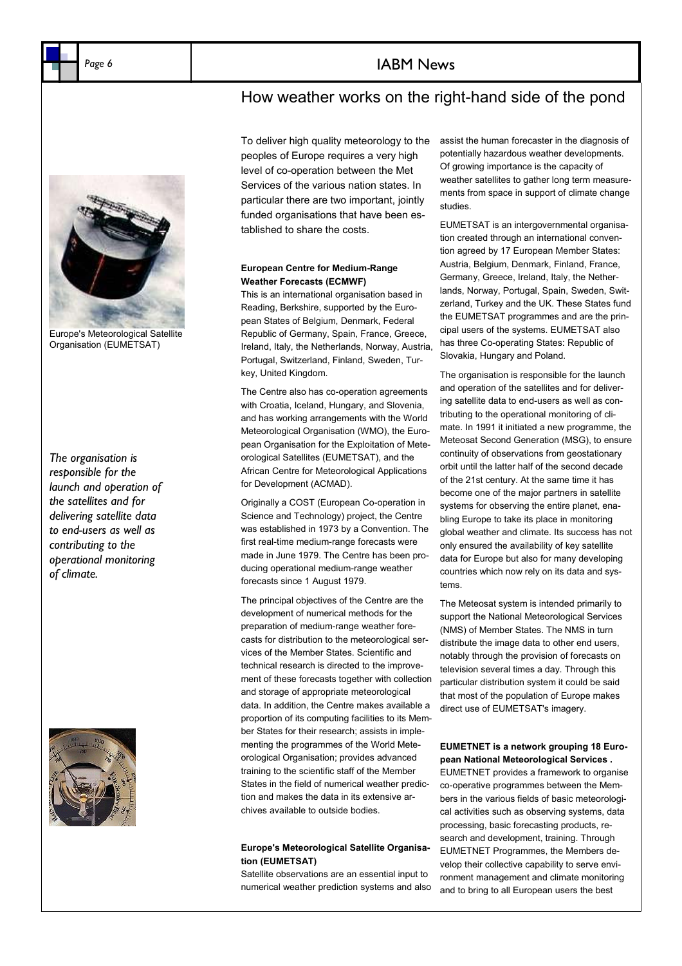### Page 6 **IABM** News

### How weather works on the right-hand side of the pond



Europe's Meteorological Satellite Organisation (EUMETSAT)

*The organisation is responsible for the launch and operation of the satellites and for delivering satellite data to end-users as well as contributing to the operational monitoring of climate.* 



To deliver high quality meteorology to the peoples of Europe requires a very high level of co-operation between the Met Services of the various nation states. In particular there are two important, jointly funded organisations that have been established to share the costs.

### **European Centre for Medium-Range Weather Forecasts (ECMWF)**

This is an international organisation based in Reading, Berkshire, supported by the European States of Belgium, Denmark, Federal Republic of Germany, Spain, France, Greece, Ireland, Italy, the Netherlands, Norway, Austria, Portugal, Switzerland, Finland, Sweden, Turkey, United Kingdom.

The Centre also has co-operation agreements with Croatia, Iceland, Hungary, and Slovenia, and has working arrangements with the World Meteorological Organisation (WMO), the European Organisation for the Exploitation of Meteorological Satellites (EUMETSAT), and the African Centre for Meteorological Applications for Development (ACMAD).

Originally a COST (European Co-operation in Science and Technology) project, the Centre was established in 1973 by a Convention. The first real-time medium-range forecasts were made in June 1979. The Centre has been producing operational medium-range weather forecasts since 1 August 1979.

The principal objectives of the Centre are the development of numerical methods for the preparation of medium-range weather forecasts for distribution to the meteorological services of the Member States. Scientific and technical research is directed to the improvement of these forecasts together with collection and storage of appropriate meteorological data. In addition, the Centre makes available a proportion of its computing facilities to its Member States for their research; assists in implementing the programmes of the World Meteorological Organisation; provides advanced training to the scientific staff of the Member States in the field of numerical weather prediction and makes the data in its extensive archives available to outside bodies.

### **Europe's Meteorological Satellite Organisation (EUMETSAT)**

Satellite observations are an essential input to numerical weather prediction systems and also assist the human forecaster in the diagnosis of potentially hazardous weather developments. Of growing importance is the capacity of weather satellites to gather long term measurements from space in support of climate change studies.

EUMETSAT is an intergovernmental organisation created through an international convention agreed by 17 European Member States: Austria, Belgium, Denmark, Finland, France, Germany, Greece, Ireland, Italy, the Netherlands, Norway, Portugal, Spain, Sweden, Switzerland, Turkey and the UK. These States fund the EUMETSAT programmes and are the principal users of the systems. EUMETSAT also has three Co-operating States: Republic of Slovakia, Hungary and Poland.

The organisation is responsible for the launch and operation of the satellites and for delivering satellite data to end-users as well as contributing to the operational monitoring of climate. In 1991 it initiated a new programme, the Meteosat Second Generation (MSG), to ensure continuity of observations from geostationary orbit until the latter half of the second decade of the 21st century. At the same time it has become one of the major partners in satellite systems for observing the entire planet, enabling Europe to take its place in monitoring global weather and climate. Its success has not only ensured the availability of key satellite data for Europe but also for many developing countries which now rely on its data and systems.

The Meteosat system is intended primarily to support the National Meteorological Services (NMS) of Member States. The NMS in turn distribute the image data to other end users, notably through the provision of forecasts on television several times a day. Through this particular distribution system it could be said that most of the population of Europe makes direct use of EUMETSAT's imagery.

### **EUMETNET is a network grouping 18 European National Meteorological Services .**

EUMETNET provides a framework to organise co-operative programmes between the Members in the various fields of basic meteorological activities such as observing systems, data processing, basic forecasting products, research and development, training. Through EUMETNET Programmes, the Members develop their collective capability to serve environment management and climate monitoring and to bring to all European users the best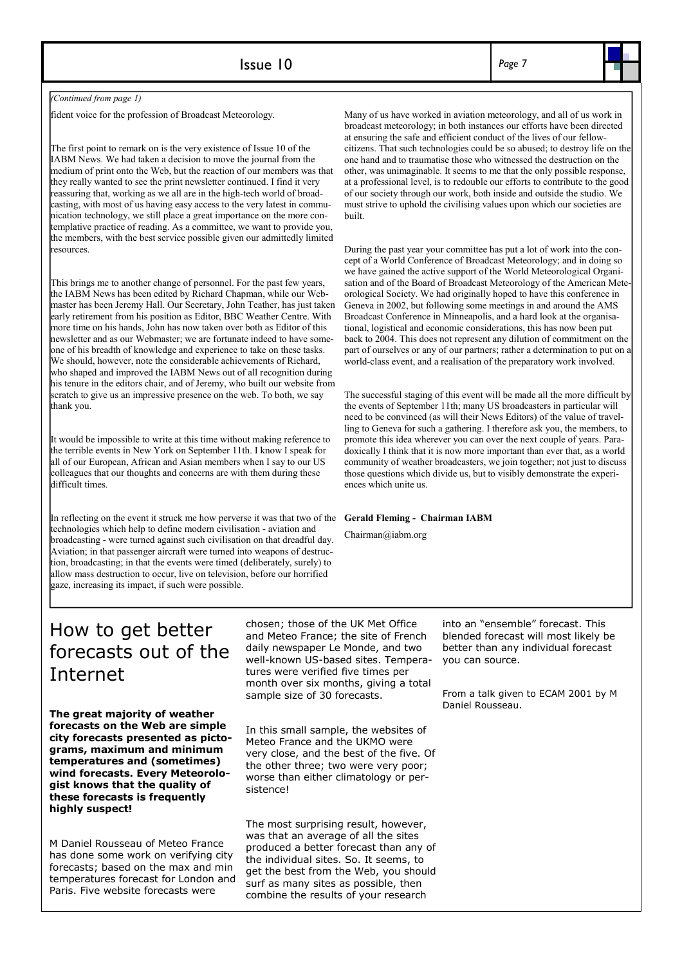| Issue 10 | Page 7 |
|----------|--------|
|----------|--------|

*(Continued from page 1)* 

fident voice for the profession of Broadcast Meteorology.

The first point to remark on is the very existence of Issue 10 of the IABM News. We had taken a decision to move the journal from the medium of print onto the Web, but the reaction of our members was that they really wanted to see the print newsletter continued. I find it very reassuring that, working as we all are in the high-tech world of broadcasting, with most of us having easy access to the very latest in communication technology, we still place a great importance on the more contemplative practice of reading. As a committee, we want to provide you, the members, with the best service possible given our admittedly limited resources.

This brings me to another change of personnel. For the past few years, the IABM News has been edited by Richard Chapman, while our Webmaster has been Jeremy Hall. Our Secretary, John Teather, has just taken early retirement from his position as Editor, BBC Weather Centre. With more time on his hands, John has now taken over both as Editor of this newsletter and as our Webmaster; we are fortunate indeed to have someone of his breadth of knowledge and experience to take on these tasks. We should, however, note the considerable achievements of Richard, who shaped and improved the IABM News out of all recognition during his tenure in the editors chair, and of Jeremy, who built our website from scratch to give us an impressive presence on the web. To both, we say thank you.

It would be impossible to write at this time without making reference to the terrible events in New York on September 11th. I know I speak for all of our European, African and Asian members when I say to our US colleagues that our thoughts and concerns are with them during these difficult times.

In reflecting on the event it struck me how perverse it was that two of the technologies which help to define modern civilisation - aviation and broadcasting - were turned against such civilisation on that dreadful day. Aviation; in that passenger aircraft were turned into weapons of destruction, broadcasting; in that the events were timed (deliberately, surely) to allow mass destruction to occur, live on television, before our horrified gaze, increasing its impact, if such were possible.

Many of us have worked in aviation meteorology, and all of us work in broadcast meteorology; in both instances our efforts have been directed at ensuring the safe and efficient conduct of the lives of our fellowcitizens. That such technologies could be so abused; to destroy life on the one hand and to traumatise those who witnessed the destruction on the other, was unimaginable. It seems to me that the only possible response, at a professional level, is to redouble our efforts to contribute to the good of our society through our work, both inside and outside the studio. We must strive to uphold the civilising values upon which our societies are built.

During the past year your committee has put a lot of work into the concept of a World Conference of Broadcast Meteorology; and in doing so we have gained the active support of the World Meteorological Organisation and of the Board of Broadcast Meteorology of the American Meteorological Society. We had originally hoped to have this conference in Geneva in 2002, but following some meetings in and around the AMS Broadcast Conference in Minneapolis, and a hard look at the organisational, logistical and economic considerations, this has now been put back to 2004. This does not represent any dilution of commitment on the part of ourselves or any of our partners; rather a determination to put on a world-class event, and a realisation of the preparatory work involved.

The successful staging of this event will be made all the more difficult by the events of September 11th; many US broadcasters in particular will need to be convinced (as will their News Editors) of the value of travelling to Geneva for such a gathering. I therefore ask you, the members, to promote this idea wherever you can over the next couple of years. Paradoxically I think that it is now more important than ever that, as a world community of weather broadcasters, we join together; not just to discuss those questions which divide us, but to visibly demonstrate the experiences which unite us.

#### **Gerald Fleming - Chairman IABM**

Chairman@iabm.org

## How to get better forecasts out of the Internet

**The great majority of weather forecasts on the Web are simple city forecasts presented as pictograms, maximum and minimum temperatures and (sometimes) wind forecasts. Every Meteorologist knows that the quality of these forecasts is frequently highly suspect!** 

M Daniel Rousseau of Meteo France has done some work on verifying city forecasts; based on the max and min temperatures forecast for London and Paris. Five website forecasts were

chosen; those of the UK Met Office and Meteo France; the site of French daily newspaper Le Monde, and two well-known US-based sites. Temperatures were verified five times per month over six months, giving a total sample size of 30 forecasts.

In this small sample, the websites of Meteo France and the UKMO were very close, and the best of the five. Of the other three; two were very poor; worse than either climatology or persistence!

The most surprising result, however, was that an average of all the sites produced a better forecast than any of the individual sites. So. It seems, to get the best from the Web, you should surf as many sites as possible, then combine the results of your research

into an "ensemble" forecast. This blended forecast will most likely be better than any individual forecast you can source.

From a talk given to ECAM 2001 by M Daniel Rousseau.

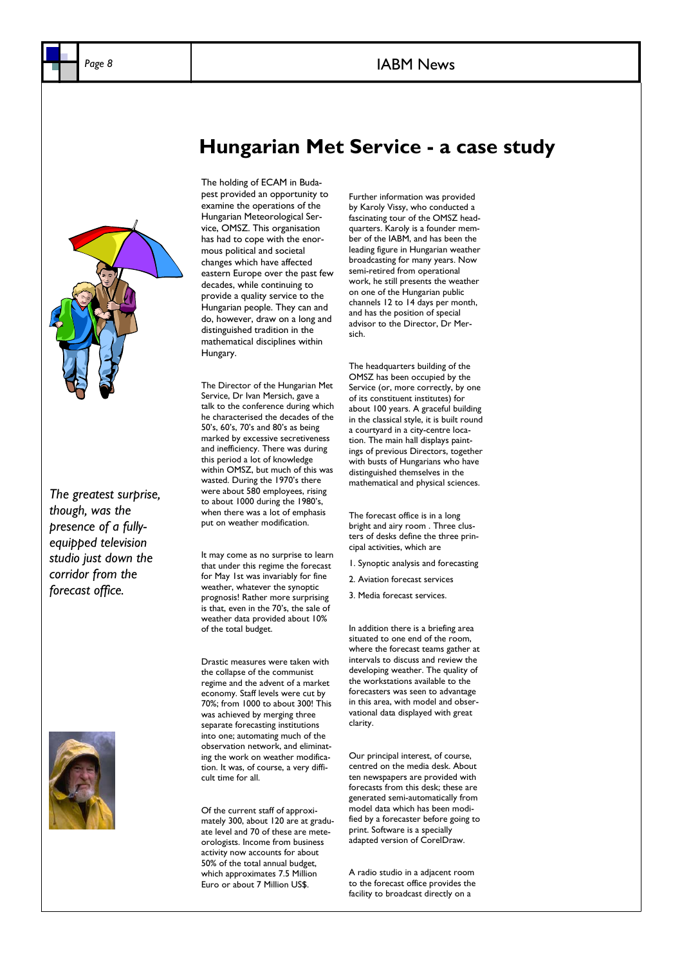### Page 8 **IABM** News



*The greatest surprise, though, was the presence of a fullyequipped television studio just down the corridor from the forecast office.* 



## **Hungarian Met Service - a case study**

The holding of ECAM in Budapest provided an opportunity to examine the operations of the Hungarian Meteorological Service, OMSZ. This organisation has had to cope with the enormous political and societal changes which have affected eastern Europe over the past few decades, while continuing to provide a quality service to the Hungarian people. They can and do, however, draw on a long and distinguished tradition in the mathematical disciplines within Hungary.

The Director of the Hungarian Met Service, Dr Ivan Mersich, gave a talk to the conference during which he characterised the decades of the 50's, 60's, 70's and 80's as being marked by excessive secretiveness and inefficiency. There was during this period a lot of knowledge within OMSZ, but much of this was wasted. During the 1970's there were about 580 employees, rising to about 1000 during the 1980's, when there was a lot of emphasis put on weather modification.

It may come as no surprise to learn that under this regime the forecast for May 1st was invariably for fine weather, whatever the synoptic prognosis! Rather more surprising is that, even in the 70's, the sale of weather data provided about 10% of the total budget.

Drastic measures were taken with the collapse of the communist regime and the advent of a market economy. Staff levels were cut by 70%; from 1000 to about 300! This was achieved by merging three separate forecasting institutions into one; automating much of the observation network, and eliminating the work on weather modification. It was, of course, a very difficult time for all.

Of the current staff of approximately 300, about 120 are at graduate level and 70 of these are meteorologists. Income from business activity now accounts for about 50% of the total annual budget, which approximates 7.5 Million Euro or about 7 Million US\$.

Further information was provided by Karoly Vissy, who conducted a fascinating tour of the OMSZ headquarters. Karoly is a founder member of the IABM, and has been the leading figure in Hungarian weather broadcasting for many years. Now semi-retired from operational work, he still presents the weather on one of the Hungarian public channels 12 to 14 days per month, and has the position of special advisor to the Director, Dr Mersich.

The headquarters building of the OMSZ has been occupied by the Service (or, more correctly, by one of its constituent institutes) for about 100 years. A graceful building in the classical style, it is built round a courtyard in a city-centre location. The main hall displays paintings of previous Directors, together with busts of Hungarians who have distinguished themselves in the mathematical and physical sciences.

The forecast office is in a long bright and airy room . Three clusters of desks define the three principal activities, which are

1. Synoptic analysis and forecasting

2. Aviation forecast services

3. Media forecast services.

In addition there is a briefing area situated to one end of the room, where the forecast teams gather at intervals to discuss and review the developing weather. The quality of the workstations available to the forecasters was seen to advantage in this area, with model and observational data displayed with great clarity.

Our principal interest, of course, centred on the media desk. About ten newspapers are provided with forecasts from this desk; these are generated semi-automatically from model data which has been modified by a forecaster before going to print. Software is a specially adapted version of CorelDraw.

A radio studio in a adjacent room to the forecast office provides the facility to broadcast directly on a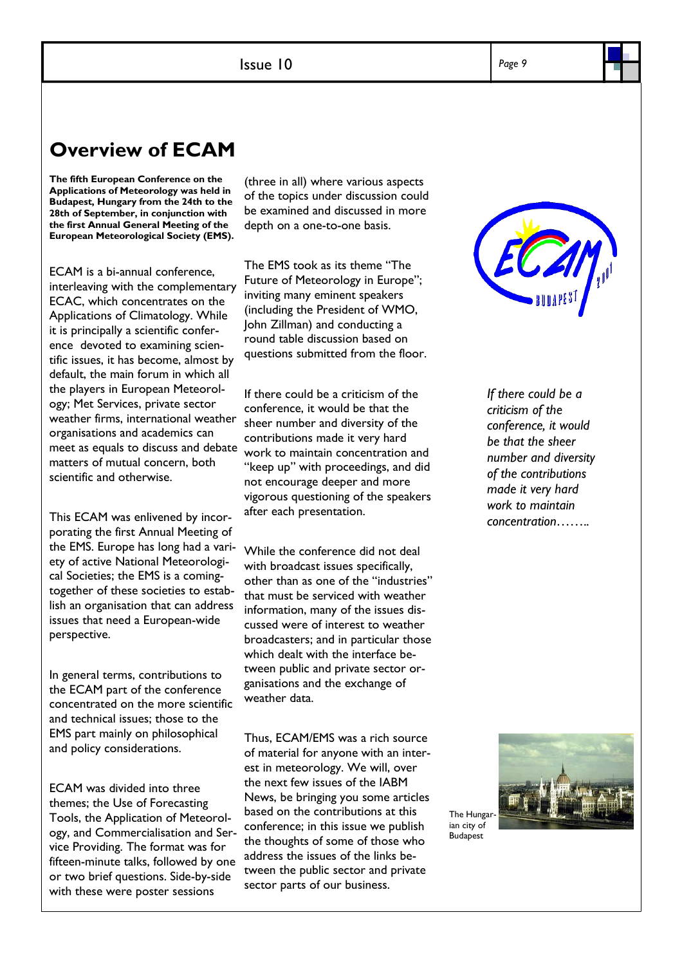## **Overview of ECAM**

**The fifth European Conference on the Applications of Meteorology was held in Budapest, Hungary from the 24th to the 28th of September, in conjunction with the first Annual General Meeting of the European Meteorological Society (EMS).** 

ECAM is a bi-annual conference, interleaving with the complementary ECAC, which concentrates on the Applications of Climatology. While it is principally a scientific conference devoted to examining scientific issues, it has become, almost by default, the main forum in which all the players in European Meteorology; Met Services, private sector weather firms, international weather organisations and academics can meet as equals to discuss and debate matters of mutual concern, both scientific and otherwise.

This ECAM was enlivened by incorporating the first Annual Meeting of the EMS. Europe has long had a variety of active National Meteorological Societies; the EMS is a comingtogether of these societies to establish an organisation that can address issues that need a European-wide perspective.

In general terms, contributions to the ECAM part of the conference concentrated on the more scientific and technical issues; those to the EMS part mainly on philosophical and policy considerations.

ECAM was divided into three themes; the Use of Forecasting Tools, the Application of Meteorology, and Commercialisation and Service Providing. The format was for fifteen-minute talks, followed by one or two brief questions. Side-by-side with these were poster sessions

(three in all) where various aspects of the topics under discussion could be examined and discussed in more depth on a one-to-one basis.

The EMS took as its theme "The Future of Meteorology in Europe"; inviting many eminent speakers (including the President of WMO, John Zillman) and conducting a round table discussion based on questions submitted from the floor.

If there could be a criticism of the conference, it would be that the sheer number and diversity of the contributions made it very hard work to maintain concentration and "keep up" with proceedings, and did not encourage deeper and more vigorous questioning of the speakers after each presentation.

While the conference did not deal with broadcast issues specifically, other than as one of the "industries" that must be serviced with weather information, many of the issues discussed were of interest to weather broadcasters; and in particular those which dealt with the interface between public and private sector organisations and the exchange of weather data.

Thus, ECAM/EMS was a rich source of material for anyone with an interest in meteorology. We will, over the next few issues of the IABM News, be bringing you some articles based on the contributions at this conference; in this issue we publish the thoughts of some of those who address the issues of the links between the public sector and private sector parts of our business.



*If there could be a criticism of the conference, it would be that the sheer number and diversity of the contributions made it very hard work to maintain concentration……..* 

The Hungarian city of

Budapest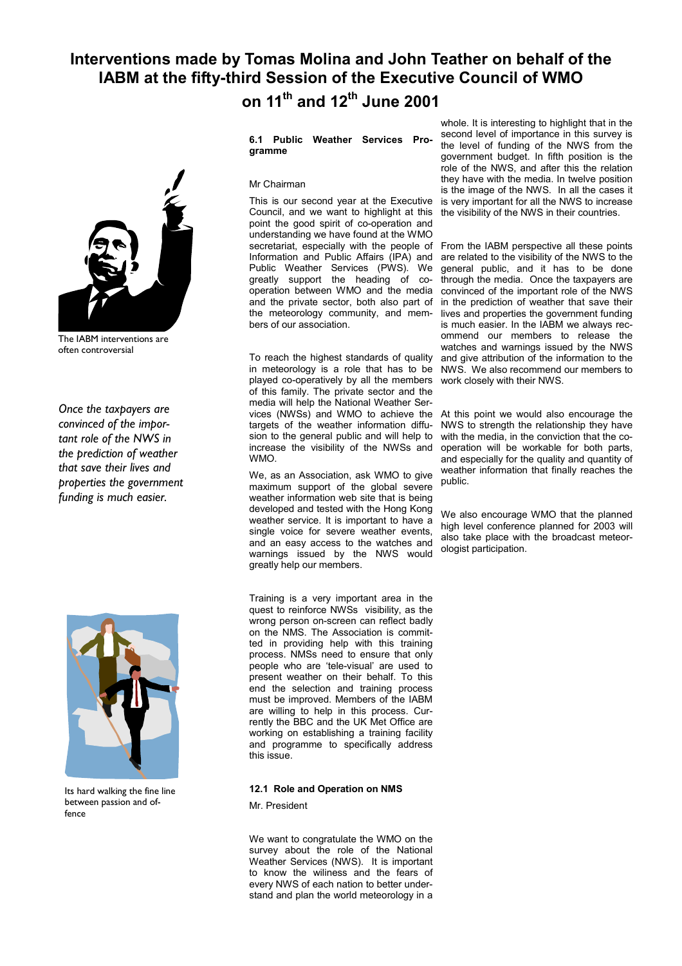## **Interventions made by Tomas Molina and John Teather on behalf of the IABM at the fifty-third Session of the Executive Council of WMO on 11th and 12th June 2001**



The IABM interventions are often controversial

*Once the taxpayers are convinced of the important role of the NWS in the prediction of weather that save their lives and properties the government funding is much easier.* 



Its hard walking the fine line between passion and offence

### **6.1 Public Weather Services Programme**

#### Mr Chairman

This is our second year at the Executive Council, and we want to highlight at this point the good spirit of co-operation and understanding we have found at the WMO Information and Public Affairs (IPA) and Public Weather Services (PWS). We greatly support the heading of cooperation between WMO and the media and the private sector, both also part of the meteorology community, and members of our association.

To reach the highest standards of quality in meteorology is a role that has to be played co-operatively by all the members of this family. The private sector and the media will help the National Weather Services (NWSs) and WMO to achieve the targets of the weather information diffusion to the general public and will help to increase the visibility of the NWSs and WMO.

We, as an Association, ask WMO to give maximum support of the global severe weather information web site that is being developed and tested with the Hong Kong weather service. It is important to have a single voice for severe weather events, and an easy access to the watches and warnings issued by the NWS would greatly help our members.

Training is a very important area in the quest to reinforce NWSs visibility, as the wrong person on-screen can reflect badly on the NMS. The Association is committed in providing help with this training process. NMSs need to ensure that only people who are 'tele-visual' are used to present weather on their behalf. To this end the selection and training process must be improved. Members of the IABM are willing to help in this process. Currently the BBC and the UK Met Office are working on establishing a training facility and programme to specifically address this issue.

#### **12.1 Role and Operation on NMS**

Mr. President

We want to congratulate the WMO on the survey about the role of the National Weather Services (NWS). It is important to know the wiliness and the fears of every NWS of each nation to better understand and plan the world meteorology in a

whole. It is interesting to highlight that in the second level of importance in this survey is the level of funding of the NWS from the government budget. In fifth position is the role of the NWS, and after this the relation they have with the media. In twelve position is the image of the NWS. In all the cases it is very important for all the NWS to increase the visibility of the NWS in their countries.

secretariat, especially with the people of From the IABM perspective all these points are related to the visibility of the NWS to the general public, and it has to be done through the media. Once the taxpayers are convinced of the important role of the NWS in the prediction of weather that save their lives and properties the government funding is much easier. In the IABM we always recommend our members to release the watches and warnings issued by the NWS and give attribution of the information to the NWS. We also recommend our members to work closely with their NWS.

> At this point we would also encourage the NWS to strength the relationship they have with the media, in the conviction that the cooperation will be workable for both parts, and especially for the quality and quantity of weather information that finally reaches the public.

> We also encourage WMO that the planned high level conference planned for 2003 will also take place with the broadcast meteorologist participation.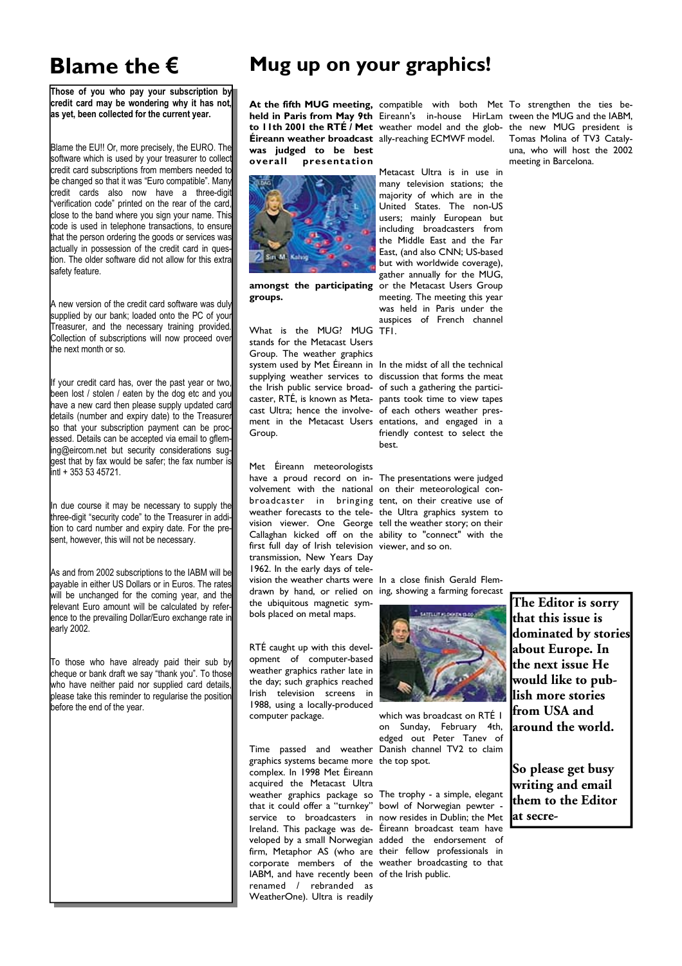# **Blame the €**

**Those of you who pay your subscription by credit card may be wondering why it has not, as yet, been collected for the current year.** 

Blame the EU!! Or, more precisely, the EURO. The software which is used by your treasurer to collect credit card subscriptions from members needed to be changed so that it was "Euro compatible". Many credit cards also now have a three-digit "verification code" printed on the rear of the card, close to the band where you sign your name. This code is used in telephone transactions, to ensure that the person ordering the goods or services was actually in possession of the credit card in question. The older software did not allow for this extra safety feature.

A new version of the credit card software was duly supplied by our bank; loaded onto the PC of your Treasurer, and the necessary training provided. Collection of subscriptions will now proceed over  $\mathsf{t}$ the next month or so.

If your credit card has, over the past year or two, been lost / stolen / eaten by the dog etc and you have a new card then please supply updated card details (number and expiry date) to the Treasurer so that your subscription payment can be processed. Details can be accepted via email to gflemng@eircom.net but security considerations suggest that by fax would be safer; the fax number is  $int1 + 3535345721$ .

In due course it may be necessary to supply the three-digit "security code" to the Treasurer in addition to card number and expiry date. For the present, however, this will not be necessary.

As and from 2002 subscriptions to the IABM will be payable in either US Dollars or in Euros. The rates will be unchanged for the coming year, and the relevant Euro amount will be calculated by reference to the prevailing Dollar/Euro exchange rate in early 2002.

To those who have already paid their sub by cheque or bank draft we say "thank you". To those who have neither paid nor supplied card details, please take this reminder to regularise the position before the end of the year.

## **Mug up on your graphics!**

**Éireann weather broadcast**  ally-reaching ECMWF model. **was judged to be best overall presentation** 



**groups.** 

What is the MUG? MUG TF1. stands for the Metacast Users Group. The weather graphics Group.

Met Éireann meteorologists have a proud record on in-The presentations were judged volvement with the national on their meteorological conbroadcaster in bringing tent, on their creative use of weather forecasts to the tele-the Ultra graphics system to vision viewer. One George tell the weather story; on their Callaghan kicked off on the ability to "connect" with the first full day of Irish television viewer, and so on. transmission, New Years Day 1962. In the early days of television the weather charts were In a close finish Gerald Flemdrawn by hand, or relied on ing, showing a farming forecast the ubiquitous magnetic symbols placed on metal maps.

RTÉ caught up with this development of computer-based weather graphics rather late in the day; such graphics reached Irish television screens in 1988, using a locally-produced computer package.

Time passed and weather Danish channel TV2 to claim graphics systems became more the top spot. complex. In 1998 Met Éireann acquired the Metacast Ultra weather graphics package so The trophy - a simple, elegant that it could offer a "turnkey" bowl of Norwegian pewter service to broadcasters in now resides in Dublin; the Met Ireland. This package was de-Éireann broadcast team have veloped by a small Norwegian added the endorsement of firm, Metaphor AS (who are their fellow professionals in corporate members of the weather broadcasting to that IABM, and have recently been of the Irish public. renamed / rebranded as WeatherOne). Ultra is readily

**At the fifth MUG meeting,**  compatible with both Met To strengthen the ties be**held in Paris from May 9th**  Eireann's in-house HirLam tween the MUG and the IABM, **to 11th 2001 the RTÉ / Met**  weather model and the glob-the new MUG president is

**amongst the participating**  or the Metacast Users Group Metacast Ultra is in use in many television stations; the majority of which are in the United States. The non-US users; mainly European but including broadcasters from the Middle East and the Far East, (and also CNN; US-based but with worldwide coverage), gather annually for the MUG, meeting. The meeting this year was held in Paris under the auspices of French channel

system used by Met Éireann in In the midst of all the technical supplying weather services to discussion that forms the meat the Irish public service broad-of such a gathering the particicaster, RTÉ, is known as Meta-pants took time to view tapes cast Ultra; hence the involve-of each others weather presment in the Metacast Users entations, and engaged in a friendly contest to select the best.



which was broadcast on RTÉ 1 on Sunday, February 4th, edged out Peter Tanev of

**The Editor is sorry that this issue is dominated by stories about Europe. In the next issue He would like to publish more stories from USA and around the world.** 

**So please get busy writing and email them to the Editor at secre-**

Tomas Molina of TV3 Catalyuna, who will host the 2002 meeting in Barcelona.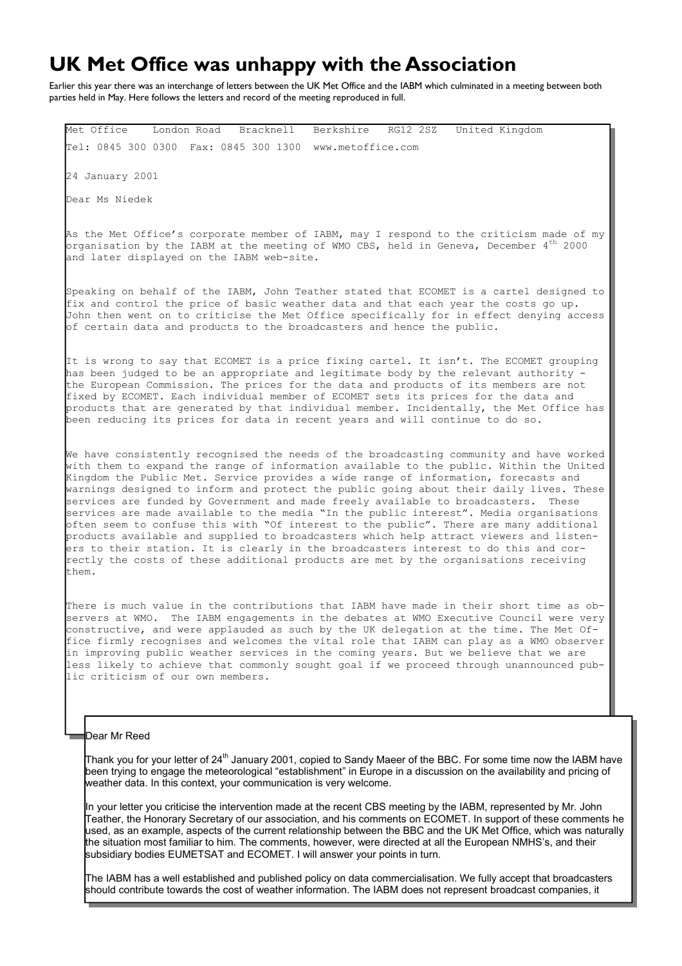## **UK Met Office was unhappy with the Association**

Earlier this year there was an interchange of letters between the UK Met Office and the IABM which culminated in a meeting between both parties held in May. Here follows the letters and record of the meeting reproduced in full.

Met Office London Road Bracknell Berkshire RG12 2SZ United Kingdom Tel: 0845 300 0300 Fax: 0845 300 1300 www.metoffice.com 24 January 2001 Dear Ms Niedek As the Met Office's corporate member of IABM, may I respond to the criticism made of my organisation by the IABM at the meeting of WMO CBS, held in Geneva, December  $4^{\text{th}}$  2000 and later displayed on the IABM web-site. Speaking on behalf of the IABM, John Teather stated that ECOMET is a cartel designed to fix and control the price of basic weather data and that each year the costs go up. John then went on to criticise the Met Office specifically for in effect denying access of certain data and products to the broadcasters and hence the public. It is wrong to say that ECOMET is a price fixing cartel. It isn't. The ECOMET grouping has been judged to be an appropriate and legitimate body by the relevant authority the European Commission. The prices for the data and products of its members are not fixed by ECOMET. Each individual member of ECOMET sets its prices for the data and products that are generated by that individual member. Incidentally, the Met Office has been reducing its prices for data in recent years and will continue to do so. We have consistently recognised the needs of the broadcasting community and have worked with them to expand the range of information available to the public. Within the United Kingdom the Public Met. Service provides a wide range of information, forecasts and warnings designed to inform and protect the public going about their daily lives. These services are funded by Government and made freely available to broadcasters. These services are made available to the media "In the public interest". Media organisations often seem to confuse this with "Of interest to the public". There are many additional products available and supplied to broadcasters which help attract viewers and listeners to their station. It is clearly in the broadcasters interest to do this and correctly the costs of these additional products are met by the organisations receiving them. There is much value in the contributions that IABM have made in their short time as observers at WMO. The IABM engagements in the debates at WMO Executive Council were very

constructive, and were applauded as such by the UK delegation at the time. The Met Office firmly recognises and welcomes the vital role that IABM can play as a WMO observer in improving public weather services in the coming years. But we believe that we are less likely to achieve that commonly sought goal if we proceed through unannounced public criticism of our own members.

### Dear Mr Reed

Thank you for your letter of 24<sup>th</sup> January 2001, copied to Sandy Maeer of the BBC. For some time now the IABM have been trying to engage the meteorological "establishment" in Europe in a discussion on the availability and pricing of weather data. In this context, your communication is very welcome.

In your letter you criticise the intervention made at the recent CBS meeting by the IABM, represented by Mr. John Teather, the Honorary Secretary of our association, and his comments on ECOMET. In support of these comments he used, as an example, aspects of the current relationship between the BBC and the UK Met Office, which was naturally the situation most familiar to him. The comments, however, were directed at all the European NMHS's, and their subsidiary bodies EUMETSAT and ECOMET. I will answer your points in turn.

The IABM has a well established and published policy on data commercialisation. We fully accept that broadcasters should contribute towards the cost of weather information. The IABM does not represent broadcast companies, it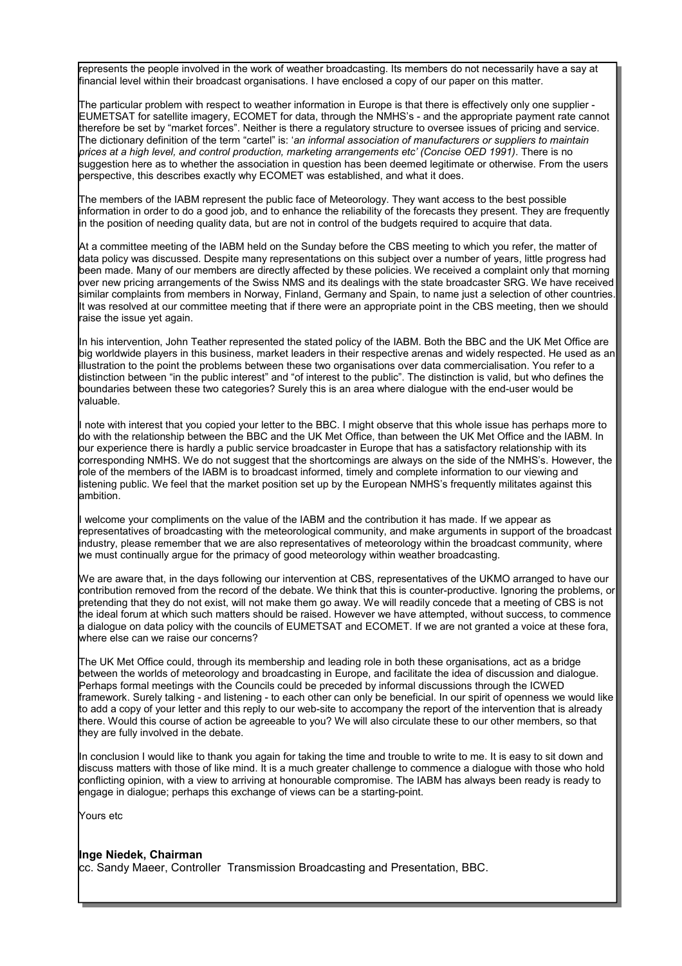represents the people involved in the work of weather broadcasting. Its members do not necessarily have a say at financial level within their broadcast organisations. I have enclosed a copy of our paper on this matter.

The particular problem with respect to weather information in Europe is that there is effectively only one supplier - EUMETSAT for satellite imagery, ECOMET for data, through the NMHS's - and the appropriate payment rate cannot therefore be set by "market forces". Neither is there a regulatory structure to oversee issues of pricing and service. The dictionary definition of the term "cartel" is: '*an informal association of manufacturers or suppliers to maintain prices at a high level, and control production, marketing arrangements etc' (Concise OED 1991)*. There is no suggestion here as to whether the association in question has been deemed legitimate or otherwise. From the users perspective, this describes exactly why ECOMET was established, and what it does.

The members of the IABM represent the public face of Meteorology. They want access to the best possible information in order to do a good job, and to enhance the reliability of the forecasts they present. They are frequently in the position of needing quality data, but are not in control of the budgets required to acquire that data.

At a committee meeting of the IABM held on the Sunday before the CBS meeting to which you refer, the matter of data policy was discussed. Despite many representations on this subject over a number of years, little progress had been made. Many of our members are directly affected by these policies. We received a complaint only that morning over new pricing arrangements of the Swiss NMS and its dealings with the state broadcaster SRG. We have received similar complaints from members in Norway, Finland, Germany and Spain, to name just a selection of other countries. It was resolved at our committee meeting that if there were an appropriate point in the CBS meeting, then we should raise the issue yet again.

In his intervention, John Teather represented the stated policy of the IABM. Both the BBC and the UK Met Office are big worldwide players in this business, market leaders in their respective arenas and widely respected. He used as an illustration to the point the problems between these two organisations over data commercialisation. You refer to a distinction between "in the public interest" and "of interest to the public". The distinction is valid, but who defines the boundaries between these two categories? Surely this is an area where dialogue with the end-user would be valuable.

note with interest that you copied your letter to the BBC. I might observe that this whole issue has perhaps more to do with the relationship between the BBC and the UK Met Office, than between the UK Met Office and the IABM. In our experience there is hardly a public service broadcaster in Europe that has a satisfactory relationship with its corresponding NMHS. We do not suggest that the shortcomings are always on the side of the NMHS's. However, the role of the members of the IABM is to broadcast informed, timely and complete information to our viewing and listening public. We feel that the market position set up by the European NMHS's frequently militates against this ambition.

I welcome your compliments on the value of the IABM and the contribution it has made. If we appear as representatives of broadcasting with the meteorological community, and make arguments in support of the broadcast industry, please remember that we are also representatives of meteorology within the broadcast community, where we must continually argue for the primacy of good meteorology within weather broadcasting.

We are aware that, in the days following our intervention at CBS, representatives of the UKMO arranged to have our contribution removed from the record of the debate. We think that this is counter-productive. Ignoring the problems, or pretending that they do not exist, will not make them go away. We will readily concede that a meeting of CBS is not the ideal forum at which such matters should be raised. However we have attempted, without success, to commence a dialogue on data policy with the councils of EUMETSAT and ECOMET. If we are not granted a voice at these fora, where else can we raise our concerns?

The UK Met Office could, through its membership and leading role in both these organisations, act as a bridge between the worlds of meteorology and broadcasting in Europe, and facilitate the idea of discussion and dialogue. Perhaps formal meetings with the Councils could be preceded by informal discussions through the ICWED framework. Surely talking - and listening - to each other can only be beneficial. In our spirit of openness we would like to add a copy of your letter and this reply to our web-site to accompany the report of the intervention that is already there. Would this course of action be agreeable to you? We will also circulate these to our other members, so that they are fully involved in the debate.

In conclusion I would like to thank you again for taking the time and trouble to write to me. It is easy to sit down and discuss matters with those of like mind. It is a much greater challenge to commence a dialogue with those who hold conflicting opinion, with a view to arriving at honourable compromise. The IABM has always been ready is ready to engage in dialogue; perhaps this exchange of views can be a starting-point.

Yours etc

**Inge Niedek, Chairman**  cc. Sandy Maeer, Controller Transmission Broadcasting and Presentation, BBC.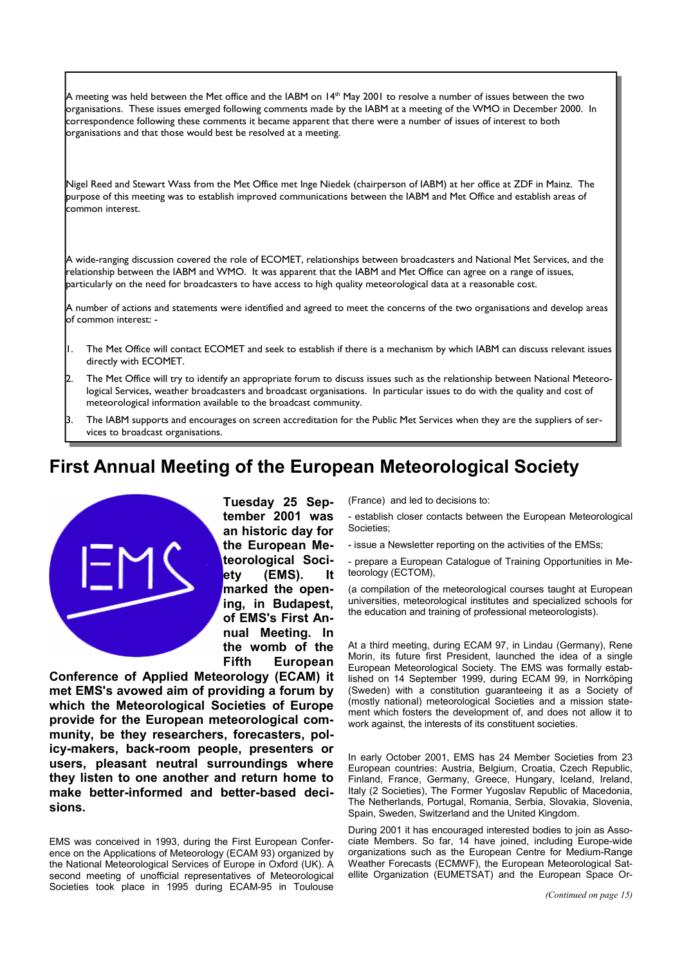A meeting was held between the Met office and the IABM on  $14^{\text{th}}$  May 2001 to resolve a number of issues between the two organisations. These issues emerged following comments made by the IABM at a meeting of the WMO in December 2000. In correspondence following these comments it became apparent that there were a number of issues of interest to both organisations and that those would best be resolved at a meeting.

Nigel Reed and Stewart Wass from the Met Office met Inge Niedek (chairperson of IABM) at her office at ZDF in Mainz. The purpose of this meeting was to establish improved communications between the IABM and Met Office and establish areas of common interest.

A wide-ranging discussion covered the role of ECOMET, relationships between broadcasters and National Met Services, and the relationship between the IABM and WMO. It was apparent that the IABM and Met Office can agree on a range of issues, particularly on the need for broadcasters to have access to high quality meteorological data at a reasonable cost.

A number of actions and statements were identified and agreed to meet the concerns of the two organisations and develop areas of common interest: -

- 1. The Met Office will contact ECOMET and seek to establish if there is a mechanism by which IABM can discuss relevant issues directly with ECOMET.
- 2. The Met Office will try to identify an appropriate forum to discuss issues such as the relationship between National Meteorological Services, weather broadcasters and broadcast organisations. In particular issues to do with the quality and cost of meteorological information available to the broadcast community.
- 3. The IABM supports and encourages on screen accreditation for the Public Met Services when they are the suppliers of services to broadcast organisations.

## **First Annual Meeting of the European Meteorological Society**



**Tuesday 25 September 2001 was an historic day for the European Meteorological Society (EMS). It marked the opening, in Budapest, of EMS's First Annual Meeting. In the womb of the Fifth European** 

**Conference of Applied Meteorology (ECAM) it met EMS's avowed aim of providing a forum by which the Meteorological Societies of Europe provide for the European meteorological community, be they researchers, forecasters, policy-makers, back-room people, presenters or users, pleasant neutral surroundings where they listen to one another and return home to make better-informed and better-based decisions.** 

EMS was conceived in 1993, during the First European Conference on the Applications of Meteorology (ECAM 93) organized by the National Meteorological Services of Europe in Oxford (UK). A second meeting of unofficial representatives of Meteorological Societies took place in 1995 during ECAM-95 in Toulouse

(France) and led to decisions to:

- establish closer contacts between the European Meteorological Societies;
- issue a Newsletter reporting on the activities of the EMSs;

- prepare a European Catalogue of Training Opportunities in Meteorology (ECTOM),

(a compilation of the meteorological courses taught at European universities, meteorological institutes and specialized schools for the education and training of professional meteorologists).

At a third meeting, during ECAM 97, in Lindau (Germany), Rene Morin, its future first President, launched the idea of a single European Meteorological Society. The EMS was formally established on 14 September 1999, during ECAM 99, in Norrköping (Sweden) with a constitution guaranteeing it as a Society of (mostly national) meteorological Societies and a mission statement which fosters the development of, and does not allow it to work against, the interests of its constituent societies.

In early October 2001, EMS has 24 Member Societies from 23 European countries: Austria, Belgium, Croatia, Czech Republic, Finland, France, Germany, Greece, Hungary, Iceland, Ireland, Italy (2 Societies), The Former Yugoslav Republic of Macedonia, The Netherlands, Portugal, Romania, Serbia, Slovakia, Slovenia, Spain, Sweden, Switzerland and the United Kingdom.

During 2001 it has encouraged interested bodies to join as Associate Members. So far, 14 have joined, including Europe-wide organizations such as the European Centre for Medium-Range Weather Forecasts (ECMWF), the European Meteorological Satellite Organization (EUMETSAT) and the European Space Or-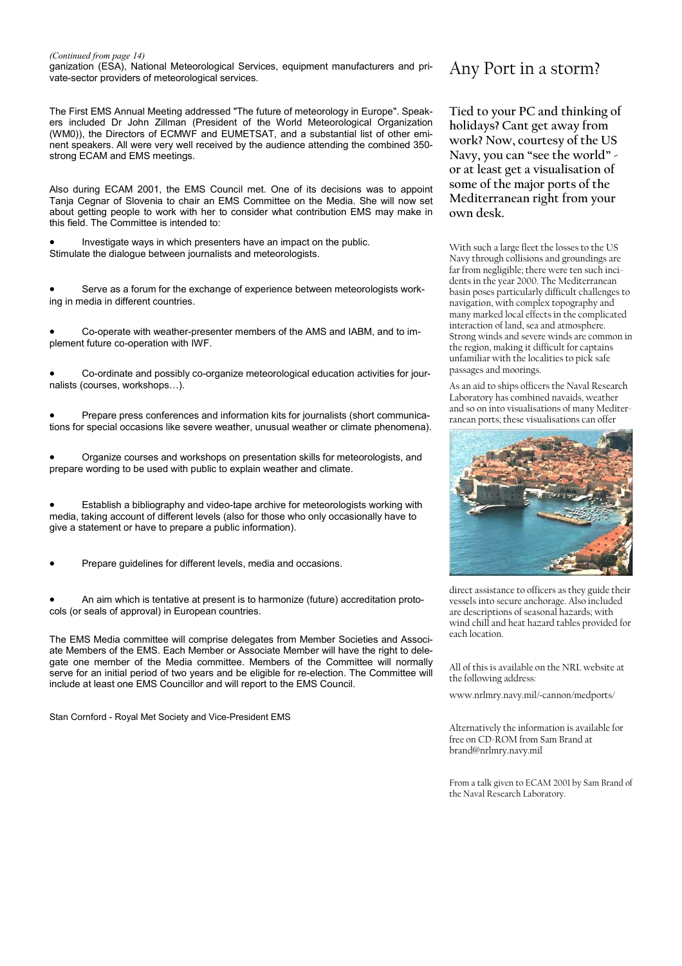#### *(Continued from page 14)*

ganization (ESA), National Meteorological Services, equipment manufacturers and private-sector providers of meteorological services.

The First EMS Annual Meeting addressed "The future of meteorology in Europe". Speakers included Dr John Zillman (President of the World Meteorological Organization (WM0)), the Directors of ECMWF and EUMETSAT, and a substantial list of other eminent speakers. All were very well received by the audience attending the combined 350 strong ECAM and EMS meetings.

Also during ECAM 2001, the EMS Council met. One of its decisions was to appoint Tanja Cegnar of Slovenia to chair an EMS Committee on the Media. She will now set about getting people to work with her to consider what contribution EMS may make in this field. The Committee is intended to:

• Investigate ways in which presenters have an impact on the public. Stimulate the dialogue between journalists and meteorologists.

Serve as a forum for the exchange of experience between meteorologists working in media in different countries.

• Co-operate with weather-presenter members of the AMS and IABM, and to implement future co-operation with IWF.

• Co-ordinate and possibly co-organize meteorological education activities for journalists (courses, workshops…).

• Prepare press conferences and information kits for journalists (short communications for special occasions like severe weather, unusual weather or climate phenomena).

• Organize courses and workshops on presentation skills for meteorologists, and prepare wording to be used with public to explain weather and climate.

• Establish a bibliography and video-tape archive for meteorologists working with media, taking account of different levels (also for those who only occasionally have to give a statement or have to prepare a public information).

• Prepare guidelines for different levels, media and occasions.

• An aim which is tentative at present is to harmonize (future) accreditation protocols (or seals of approval) in European countries.

The EMS Media committee will comprise delegates from Member Societies and Associate Members of the EMS. Each Member or Associate Member will have the right to delegate one member of the Media committee. Members of the Committee will normally serve for an initial period of two years and be eligible for re-election. The Committee will include at least one EMS Councillor and will report to the EMS Council.

Stan Cornford - Royal Met Society and Vice-President EMS

### Any Port in a storm?

**Tied to your PC and thinking of holidays? Cant get away from work? Now, courtesy of the US Navy, you can "see the world" or at least get a visualisation of some of the major ports of the Mediterranean right from your own desk.** 

With such a large fleet the losses to the US Navy through collisions and groundings are far from negligible; there were ten such incidents in the year 2000. The Mediterranean basin poses particularly difficult challenges to navigation, with complex topography and many marked local effects in the complicated interaction of land, sea and atmosphere. Strong winds and severe winds are common in the region, making it difficult for captains unfamiliar with the localities to pick safe passages and moorings.

As an aid to ships officers the Naval Research Laboratory has combined navaids, weather and so on into visualisations of many Mediterranean ports; these visualisations can offer



direct assistance to officers as they guide their vessels into secure anchorage. Also included are descriptions of seasonal hazards; with wind chill and heat hazard tables provided for each location.

All of this is available on the NRL website at the following address:

www.nrlmry.navy.mil/~cannon/medports/

Alternatively the information is available for free on CD-ROM from Sam Brand at brand@nrlmry.navy.mil

From a talk given to ECAM 2001 by Sam Brand of the Naval Research Laboratory.